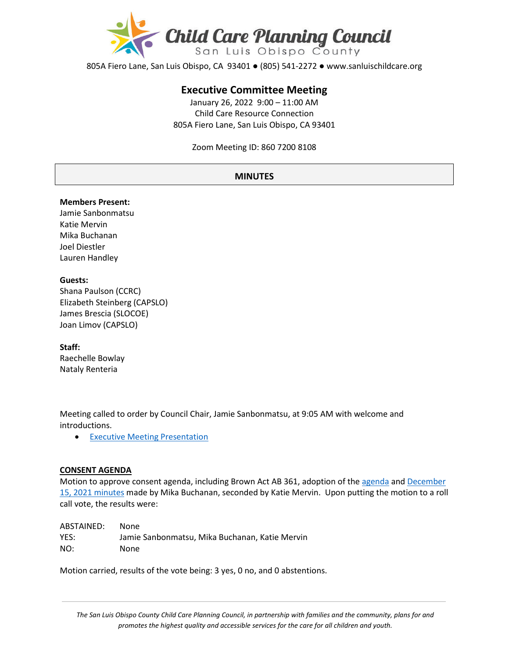

805A Fiero Lane, San Luis Obispo, CA 93401 ● (805) 541-2272 ● www.sanluischildcare.org

# **Executive Committee Meeting**

January 26, 2022 9:00 – 11:00 AM Child Care Resource Connection 805A Fiero Lane, San Luis Obispo, CA 93401

Zoom Meeting ID: 860 7200 8108

#### **MINUTES**

#### **Members Present:**

Jamie Sanbonmatsu Katie Mervin Mika Buchanan Joel Diestler Lauren Handley

#### **Guests:**

Shana Paulson (CCRC) Elizabeth Steinberg (CAPSLO) James Brescia (SLOCOE) Joan Limov (CAPSLO)

#### **Staff:**

Raechelle Bowlay Nataly Renteria

Meeting called to order by Council Chair, Jamie Sanbonmatsu, at 9:05 AM with welcome and introductions.

• [Executive Meeting Presentation](https://drive.google.com/file/d/128WUJ3OcAPP8B1nrgSO1V_UrH26oZ_IX/view?usp=sharing) 

#### **CONSENT AGENDA**

Motion to approve consent agenda, including Brown Act AB 361, adoption of th[e agenda](https://drive.google.com/file/d/1XziEuTZEtpcwr7XCjtJwMgBkAGpJNW-b/view?usp=sharing) and [December](https://drive.google.com/file/d/16O2fLVuuE89Fqs57mUwQWXCucsFXcEuu/view?usp=sharing)  15[, 2021 minutes](https://drive.google.com/file/d/16O2fLVuuE89Fqs57mUwQWXCucsFXcEuu/view?usp=sharing) made by Mika Buchanan, seconded by Katie Mervin. Upon putting the motion to a roll call vote, the results were:

ABSTAINED: None YES: Jamie Sanbonmatsu, Mika Buchanan, Katie Mervin NO: None

Motion carried, results of the vote being: 3 yes, 0 no, and 0 abstentions.

*The San Luis Obispo County Child Care Planning Council, in partnership with families and the community, plans for and promotes the highest quality and accessible services for the care for all children and youth.*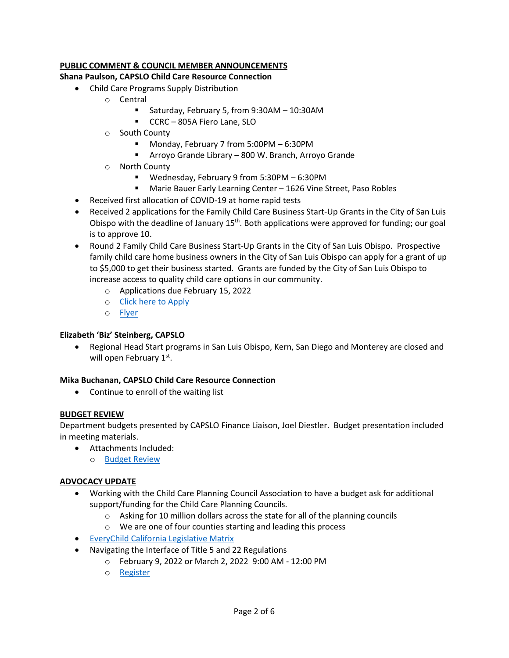# **PUBLIC COMMENT & COUNCIL MEMBER ANNOUNCEMENTS**

#### **Shana Paulson, CAPSLO Child Care Resource Connection**

- Child Care Programs Supply Distribution
	- o Central
		- Saturday, February 5, from 9:30AM 10:30AM
		- **CCRC** 805A Fiero Lane, SLO
	- o South County
		- Monday, February 7 from 5:00PM 6:30PM
		- Arroyo Grande Library 800 W. Branch, Arroyo Grande
	- o North County
		- Wednesday, February 9 from 5:30PM 6:30PM
		- Marie Bauer Early Learning Center 1626 Vine Street, Paso Robles
- Received first allocation of COVID-19 at home rapid tests
- Received 2 applications for the Family Child Care Business Start-Up Grants in the City of San Luis Obispo with the deadline of January  $15<sup>th</sup>$ . Both applications were approved for funding; our goal is to approve 10.
- Round 2 Family Child Care Business Start-Up Grants in the City of San Luis Obispo. Prospective family child care home business owners in the City of San Luis Obispo can apply for a grant of up to \$5,000 to get their business started. Grants are funded by the City of San Luis Obispo to increase access to quality child care options in our community.
	- o Applications due February 15, 2022
	- o [Click here to Apply](https://docs.google.com/forms/d/e/1FAIpQLSdsnZ1TvlOfSRMs7lNP4awe3cfWTpvbxqK_2P-ChXg0OM_HQA/viewform)
	- o [Flyer](https://drive.google.com/file/d/1P0ScfnYllSe93w0orcbeHgCqW75CQIpb/view?usp=sharing)

# **Elizabeth 'Biz' Steinberg, CAPSLO**

• Regional Head Start programs in San Luis Obispo, Kern, San Diego and Monterey are closed and will open February 1<sup>st</sup>.

# **Mika Buchanan, CAPSLO Child Care Resource Connection**

• Continue to enroll of the waiting list

# **BUDGET REVIEW**

Department budgets presented by CAPSLO Finance Liaison, Joel Diestler. Budget presentation included in meeting materials.

- Attachments Included:
	- o [Budget Review](https://drive.google.com/file/d/1SfndxrX0Mu4mLL0n2HjrvYmCnippTF5A/view?usp=sharing)

# **ADVOCACY UPDATE**

- Working with the Child Care Planning Council Association to have a budget ask for additional support/funding for the Child Care Planning Councils.
	- o Asking for 10 million dollars across the state for all of the planning councils
	- o We are one of four counties starting and leading this process
- [EveryChild California Legislative Matrix](https://drive.google.com/file/d/1WrMd5Uevxslsuz9YptLo3_5P0r2GKavp/view?usp=sharing)
- Navigating the Interface of Title 5 and 22 Regulations
	- o February 9, 2022 or March 2, 2022 9:00 AM 12:00 PM
	- o [Register](https://www.everychildca.org/index.php?option=com_jevents&task=icalrepeat.detail&evid=204&Itemid=180&year=2022&month=02&day=09&title=navigating-the-interface-of-title-5-a-title-22-regulations-february-9-2022&uid=1e9e2de5fd3428a8ea520c310f15fde5)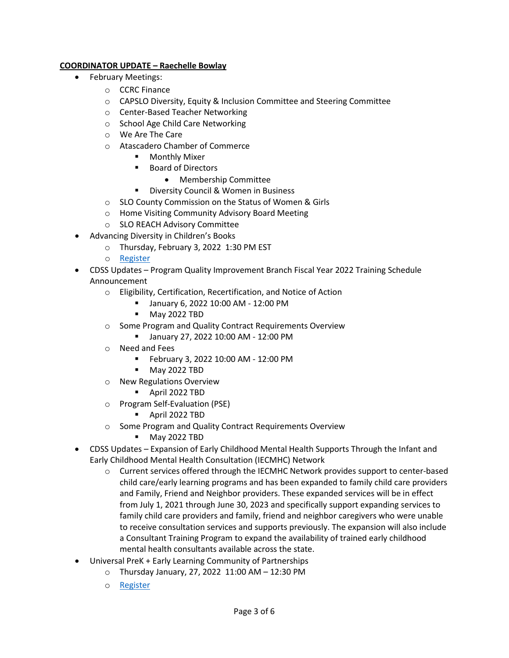# **COORDINATOR UPDATE – Raechelle Bowlay**

- February Meetings:
	- o CCRC Finance
	- o CAPSLO Diversity, Equity & Inclusion Committee and Steering Committee
	- o Center-Based Teacher Networking
	- o School Age Child Care Networking
	- o We Are The Care
	- o Atascadero Chamber of Commerce
		- **Monthly Mixer**
		- Board of Directors
			- Membership Committee
		- **Diversity Council & Women in Business**
	- o SLO County Commission on the Status of Women & Girls
	- o Home Visiting Community Advisory Board Meeting
	- o SLO REACH Advisory Committee
- Advancing Diversity in Children's Books
	- o Thursday, February 3, 2022 1:30 PM EST
	- o [Register](https://us02web.zoom.us/webinar/register/WN_5r6UREpLQZqkO4UwUfHSAg)
- CDSS Updates Program Quality Improvement Branch Fiscal Year 2022 Training Schedule Announcement
	- o Eligibility, Certification, Recertification, and Notice of Action
		- January 6, 2022 10:00 AM 12:00 PM
		- **May 2022 TBD**
	- o Some Program and Quality Contract Requirements Overview
		- January 27, 2022 10:00 AM 12:00 PM
	- o Need and Fees
		- February 3, 2022 10:00 AM 12:00 PM
		- May 2022 TBD
	- o New Regulations Overview
		- April 2022 TBD
	- o Program Self-Evaluation (PSE)
		- April 2022 TBD
	- o Some Program and Quality Contract Requirements Overview
		- May 2022 TBD
- CDSS Updates Expansion of Early Childhood Mental Health Supports Through the Infant and Early Childhood Mental Health Consultation (IECMHC) Network
	- o Current services offered through the IECMHC Network provides support to center-based child care/early learning programs and has been expanded to family child care providers and Family, Friend and Neighbor providers. These expanded services will be in effect from July 1, 2021 through June 30, 2023 and specifically support expanding services to family child care providers and family, friend and neighbor caregivers who were unable to receive consultation services and supports previously. The expansion will also include a Consultant Training Program to expand the availability of trained early childhood mental health consultants available across the state.
- Universal PreK + Early Learning Community of Partnerships
	- o Thursday January, 27, 2022 11:00 AM 12:30 PM
		- o [Register](https://slocoe.k12oms.org/2535-213646)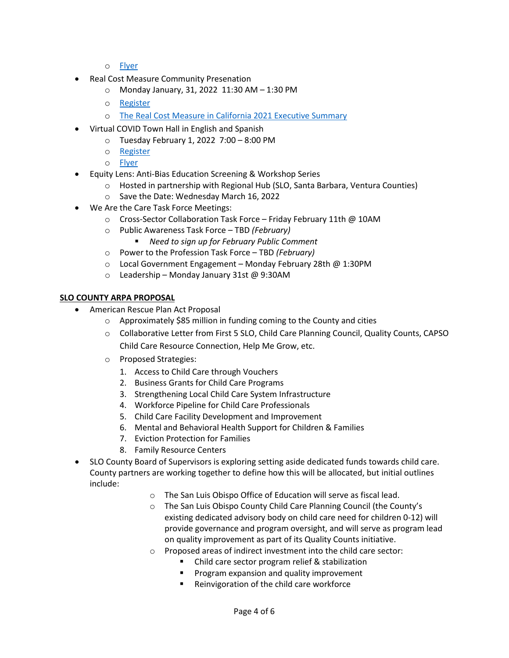- o Fl[yer](https://drive.google.com/file/d/1Gr9IGaQlfN6xcGO2ydK3ondix5mIxQT1/view?usp=sharing)
- Real Cost Measure Community Presenation
	- o Monday January, 31, 2022 11:30 AM 1:30 PM
	- o [Register](https://lp.constantcontactpages.com/su/ZnbKDQM/RCM2021?source_id=3691c601-f6fd-4e94-814e-9afa45ae35ff&source_type=em&c=oQhLoB22B2u9zv8ih1aVJaf_LH4pHaqq7vULtOMa9O__QRmDGQR9xw==)
	- o [The Real Cost Measure in California 2021 Executive Summary](https://drive.google.com/file/d/1dgLEK8OQMvOEByFd9HZ7V3yXnpB4MoR-/view?usp=sharing)
- Virtual COVID Town Hall in English and Spanish
	- o Tuesday February 1, 2022 7:00 8:00 PM
	- o [Register](https://slocoe-org.zoom.us/webinar/register/WN_8IBsSsh4Q62RM9puhglAjA)
	- o [Flyer](https://drive.google.com/file/d/13ltchCGL3afKAbhEiB5NiDEmnRRf6DRg/view?usp=sharing)
- Equity Lens: Anti-Bias Education Screening & Workshop Series
	- $\circ$  Hosted in partnership with Regional Hub (SLO, Santa Barbara, Ventura Counties)
	- o Save the Date: Wednesday March 16, 2022
- We Are the Care Task Force Meetings:
	- o Cross-Sector Collaboration Task Force Friday February 11th @ 10AM
	- o Public Awareness Task Force TBD *(February)*
		- *Need to sign up for February Public Comment*
	- o Power to the Profession Task Force TBD *(February)*
	- o Local Government Engagement Monday February 28th @ 1:30PM
	- o Leadership Monday January 31st @ 9:30AM

#### **SLO COUNTY ARPA PROPOSAL**

- American Rescue Plan Act Proposal
	- o Approximately \$85 million in funding coming to the County and cities
	- o Collaborative Letter from First 5 SLO, Child Care Planning Council, Quality Counts, CAPSO Child Care Resource Connection, Help Me Grow, etc.
	- o Proposed Strategies:
		- 1. Access to Child Care through Vouchers
		- 2. Business Grants for Child Care Programs
		- 3. Strengthening Local Child Care System Infrastructure
		- 4. Workforce Pipeline for Child Care Professionals
		- 5. Child Care Facility Development and Improvement
		- 6. Mental and Behavioral Health Support for Children & Families
		- 7. Eviction Protection for Families
		- 8. Family Resource Centers
- SLO County Board of Supervisors is exploring setting aside dedicated funds towards child care. County partners are working together to define how this will be allocated, but initial outlines include:
	- o The San Luis Obispo Office of Education will serve as fiscal lead.
	- o The San Luis Obispo County Child Care Planning Council (the County's existing dedicated advisory body on child care need for children 0-12) will provide governance and program oversight, and will serve as program lead on quality improvement as part of its Quality Counts initiative.
	- o Proposed areas of indirect investment into the child care sector:
		- Child care sector program relief & stabilization
		- Program expansion and quality improvement
		- **Reinvigoration of the child care workforce**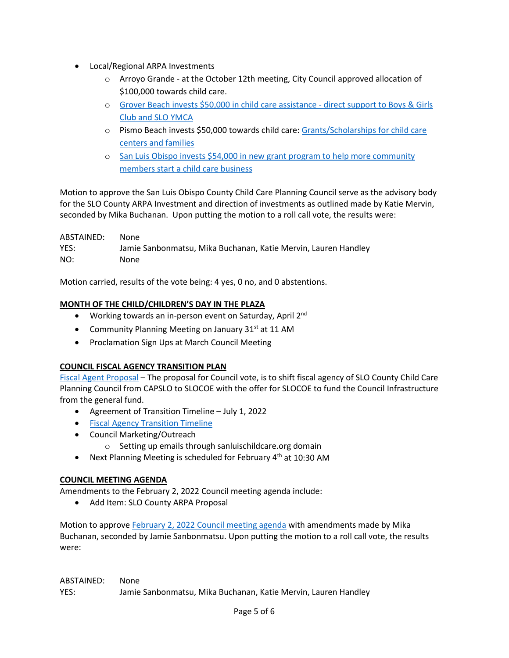- Local/Regional ARPA Investments
	- $\circ$  Arroyo Grande at the October 12th meeting, City Council approved allocation of \$100,000 towards child care.
	- o [Grover Beach invests \\$50,000 in child care assistance](https://www.newtimesslo.com/sanluisobispo/grover-beach-invests-50000-in-child-care-assistance/Content?oid=11628432&fbclid=IwAR1o6_3FSKtxiCARnsJrrnRvp_qGtaLfuW5tn8Q4O7tJRQPQrdCumtokvqA)  direct support to Boys & Girls [Club and SLO YMCA](https://www.newtimesslo.com/sanluisobispo/grover-beach-invests-50000-in-child-care-assistance/Content?oid=11628432&fbclid=IwAR1o6_3FSKtxiCARnsJrrnRvp_qGtaLfuW5tn8Q4O7tJRQPQrdCumtokvqA)
	- o Pismo Beach invests \$50,000 towards child care: Gran[ts/Scholarships for child care](https://drive.google.com/file/d/14SJVxYZsbh1ffbwiKQo9cy1arC3lzfoa/view)  [centers and families](https://drive.google.com/file/d/14SJVxYZsbh1ffbwiKQo9cy1arC3lzfoa/view)
	- o [San Luis Obispo invests \\$54,000 in new grant program to help more community](https://www.slocity.org/Home/Components/News/News/8515/?utm_medium=email&utm_source=govdelivery)  [members start a child care business](https://www.slocity.org/Home/Components/News/News/8515/?utm_medium=email&utm_source=govdelivery)

Motion to approve the San Luis Obispo County Child Care Planning Council serve as the advisory body for the SLO County ARPA Investment and direction of investments as outlined made by Katie Mervin, seconded by Mika Buchanan. Upon putting the motion to a roll call vote, the results were:

ABSTAINED: None YES: Jamie Sanbonmatsu, Mika Buchanan, Katie Mervin, Lauren Handley NO: None

Motion carried, results of the vote being: 4 yes, 0 no, and 0 abstentions.

# **MONTH OF THE CHILD/CHILDREN'S DAY IN THE PLAZA**

- Working towards an in-person event on Saturday, April 2<sup>nd</sup>
- Community Planning Meeting on January 31 $st$  at 11 AM
- Proclamation Sign Ups at March Council Meeting

# **COUNCIL FISCAL AGENCY TRANSITION PLAN**

[Fiscal Agent Proposal](https://www.canva.com/design/DAElsXtnHg8/hswHyWlKzttTOQbp55b_yg/view?utm_content=DAElsXtnHg8&utm_campaign=designshare&utm_medium=link&utm_source=publishsharelink) – The proposal for Council vote, is to shift fiscal agency of SLO County Child Care Planning Council from CAPSLO to SLOCOE with the offer for SLOCOE to fund the Council Infrastructure from the general fund.

- Agreement of Transition Timeline July 1, 2022
- [Fiscal Agency Transition Timeline](https://docs.google.com/document/d/18QGLBHfYy8R_X4f7GT9_Kptdrw7O-tLxDzTm3H1Q4zs/edit)
- Council Marketing/Outreach
	- o Setting up emails through sanluischildcare.org domain
- Next Planning Meeting is scheduled for February  $4<sup>th</sup>$  at 10:30 AM

# **COUNCIL MEETING AGENDA**

Amendments to the February 2, 2022 Council meeting agenda include:

• Add Item: SLO County ARPA Proposal

Motion to approve February 2, 2022 [Council meeting agenda](https://drive.google.com/file/d/1MzlOn_IXcgrywAve-F4xuTiRVtnK6BDR/view?usp=sharing) with amendments made by Mika Buchanan, seconded by Jamie Sanbonmatsu. Upon putting the motion to a roll call vote, the results were:

ABSTAINED: None YES: Jamie Sanbonmatsu, Mika Buchanan, Katie Mervin, Lauren Handley